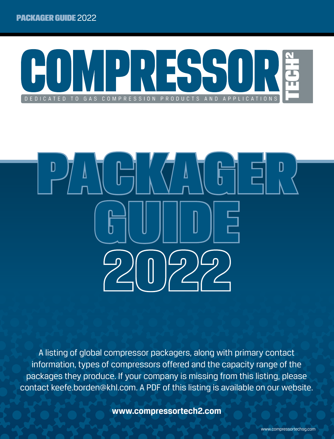



A listing of global compressor packagers, along with primary contact information, types of compressors offered and the capacity range of the packages they produce. If your company is missing from this listing, please contact keefe.borden@khl.com. A PDF of this listing is available on our website.

**www.compressortech2.com**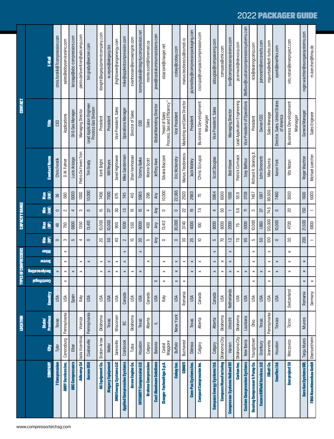|                                            |                    | <b>LOCATION</b>           |              |                       |                       | <b>TYPES OF COMPRESSORS</b>             |                     |                                                                | <b>CAPACITY RANGE</b> |                                                                |                    |                        | <b>CONTACT</b>                                    |                                       |
|--------------------------------------------|--------------------|---------------------------|--------------|-----------------------|-----------------------|-----------------------------------------|---------------------|----------------------------------------------------------------|-----------------------|----------------------------------------------------------------|--------------------|------------------------|---------------------------------------------------|---------------------------------------|
| <b>COMPANY</b><br>www.compressortechsg.com | š                  | Province<br><b>State/</b> | Country      | <b>ребпутдиаз</b>     | <b>Reciprocating</b>  | Screw                                   | Other               | ₹Ê                                                             | <b>SEN</b>            | EŜ                                                             | <b>Max</b><br>(KW) | <b>Contact Name</b>    | Ĕ                                                 | E-Mail                                |
| <b>7 Compression</b>                       | Tyler              | Texas                     | USA          |                       | $\pmb{\times}$        |                                         | $\circ$             |                                                                | ₽₿                    | $\circ$                                                        | 96                 | Chris Forstik          | CEO                                               | chris.forstik@7compression.com        |
| <b>ABBY Services Inc.</b>                  | Canonsburg         | Pennsylvania              | USA          | $\pmb{\times}$        | $\pmb{\times}$        | $\boldsymbol{\times}$<br>$\pmb{\times}$ |                     | က                                                              | 750                   | 2                                                              | 560                | D.W. Fulmer            | Applications                                      | sales@abbyservicesinc.com             |
| <b>ABC Compressors</b>                     | Eibar              |                           | Spain        |                       | $\pmb{\times}$        |                                         |                     | LO.                                                            | 6800                  | 4                                                              | 5000               | Lucio Arizaga          | Oil & Gas Manager                                 | larizaga@abc-compressors.com          |
| Adicomp Srl                                | Isola Vicentina    | Vicenza                   | <b>Italy</b> |                       | $\pmb{\times}$        | $\pmb{\times}$                          |                     | 4                                                              | 1350                  | S                                                              | 1000               | Pietro De Faveri Tron  | Managing Director                                 | pietro.defaveritron@adicomp.com       |
| <b>Aerzen USA</b>                          | Coatesville        | Pennsylvania              | <b>USA</b>   |                       |                       | $\pmb{\times}$                          |                     | $\circ$                                                        | 13,410                | $\circ$                                                        | 10,000             | Tim Grady              | Lead Application Engineer<br>Process Gas Division | tim.grady@aerzen.com                  |
| <b>AG Equipment Co.</b>                    | Broken Arrow       | Oklahoma                  | Űδ           |                       | $\pmb{\times}$        | $\pmb{\times}$                          | ន                   |                                                                | 10,000                | π                                                              | 7456               | Kent Bright            | President                                         | kbright@agequipmentcompany.com        |
| <b>Alegacy Equipment</b>                   | Waller             | Texas                     | <b>USA</b>   |                       | $\boldsymbol{\times}$ | $\pmb{\times}$                          |                     | 50                                                             | 10,000                | <u>ی</u>                                                       | 7500               | Will Reyes             | President                                         | w.reyes@alegacy.biz                   |
| <b>ANGI Energy Systems LLC</b>             | Janesville         | Wisconsin                 | usa          |                       | $\pmb{\times}$        | $\pmb{\times}$                          |                     | $\overline{a}$                                                 | 900                   | 8                                                              | 675                | Jared Hightower        | Vice President, Sales                             | jhightower@angienergy.com             |
| <b>Applied Compression Systems</b>         | Cranbrook          | 6G                        | Canada       |                       | $\pmb{\times}$        | $\pmb{\times}$                          | $\pmb{\times}$      | $\sim$                                                         | 1000                  | 51                                                             | 745                | Mike Sanderman         | <b>Operations Manager</b>                         | mike@appliedcompression.com           |
| Arrow Engine Co.                           | Tulsa              | Oklahoma                  | υSΑ          |                       | $\pmb{\times}$        |                                         |                     | ĒΘ                                                             | 550                   | ഇ                                                              | 410                | Shari Vanhooser        | Director of Sales                                 | svanhooser@arrowengine.com            |
| <b>INTEGRITY Compression LLC</b>           | Houston            | Texas                     | USA          |                       | $\pmb{\times}$        |                                         | ន<br>$\pmb{\times}$ |                                                                | 8000                  | 15                                                             | 5965               | Tommy Balke            | 8                                                 | tommybalke@integritycompression.net   |
| <b>Brahma Compression</b>                  | Calgary            | Alberta                   | Canada       |                       |                       | $\times$                                |                     | ပ                                                              | 400                   | 4                                                              | 298                | Monte Scott            | <b>Sales</b>                                      | monte.scott@foremost.ca               |
| <b>Cast Aluminum Solutions</b>             | <b>Batavia</b>     | $=$                       | USA          | $\times$              |                       |                                         |                     | Any                                                            | Any                   | Any                                                            | Any                | Jeffrey Awe            | Global Marketing Director                         | jawe@castaluminumsolutions.com        |
| Clauger-Technofrigo S.p.A.                 | Castel<br>Maggiore |                           | Italy        | ×                     | $\boldsymbol{\times}$ | $\pmb{\times}$                          | $\circ$             |                                                                | 13,412                | $\circ$                                                        | 10,000             | Silvana Bazzani        | "Head of Sales<br>Process, Gas and Efficiency"    | sbazzani@clauger.net                  |
| Cobey Inc.                                 | <b>Buffalo</b>     | New York                  | USA          | $\pmb{\times}$        | $\pmb{\times}$        | $\pmb{\times}$                          |                     | $\circ$                                                        | 30,000                | $\circ$                                                        | 22,065             | Eric McKendry          | <b>Vice President</b>                             | cobey@cobey.com                       |
| <b>COMOTI</b>                              | <b>Bucharest</b>   |                           | Romania      | $\pmb{\times}$        |                       | $\pmb{\times}$                          |                     | 90                                                             | 3740                  | $\mathbf{z}$                                                   | 2500               | Marius Teodorescu      | Marketing and Sales Director                      | marius.teodorescu@comoti.ro           |
| <b>Com-Pac Systems Inc.</b>                | Ddessa             | Texas                     | USA          |                       | $\times$              | $\pmb{\times}$                          | 52                  |                                                                | 4000                  | Ξ                                                              | 2983               | Jack Motley            | President                                         | jackmotley@compressorpackaging.com    |
| <b>Compact Compression Inc.</b>            | Calgary            | Alberta                   | Canada       |                       | $\pmb{\times}$        | $\pmb{\times}$                          |                     | $\supseteq$                                                    | $\Xi$                 | 7.5                                                            | 75                 | Chris Scrupa           | <b>Business Development</b><br>Manager            | cscrupa@compactcompression.com        |
| <b>Compass Energy Systems Ltd.</b>         | Calgary            | Alberta                   | Canada       |                       | $\pmb{\times}$        | $\pmb{\times}$                          | $\pmb{\times}$      | Б                                                              | 8000                  | 4                                                              | 5964               | Scott Douglas          | Vice President, Sales                             | sdouglas@compassnrg.com               |
| Compass Manufacturing   Oklahoma City      |                    | Oklahoma                  | <b>USA</b>   |                       | $\pmb{\times}$        | $\boldsymbol{\times}$                   | 50                  |                                                                | 8000                  | 50                                                             | 6000               |                        |                                                   | compass@chk.com                       |
| <b>Compressor Systems Holland BV</b>       | Vianen             | Utrecht                   | Netherlands  |                       | $\pmb{\times}$        | $\boldsymbol{\times}$<br>$\pmb{\times}$ | $\ddot{ }$          |                                                                | 2000                  | -                                                              | 1500               | <b>Bob Visser</b>      | <b>Managing Director</b>                          | bvr@compressorsystems.com             |
| Corken Inc.                                | Oklahoma City      | Oklahoma                  | USA          |                       | $\pmb{\times}$        |                                         |                     | 7.5                                                            | 75                    | 95                                                             | 55.9               | Patrick Cormack        | Lead Application Engineering                      | pcormack@idexcorp.com                 |
| <b>Custom Compression Systems</b>          | New Iberia         | Louisiana                 | <b>ASU</b>   |                       | $\pmb{\times}$        |                                         |                     | 95                                                             | 5000                  | Γ.                                                             | 3728               | Joey Belfour           | Vice President of Operations                      | JBelfour@customcompressionsystems.com |
| <b>Dearing Compressor &amp; Pump Co.</b>   | Youngstown         | <b>Ohio</b>               | USA          | $\boldsymbol{\times}$ | $\pmb{\times}$        | $\pmb{\times}$<br>$\pmb{\times}$        |                     | Б                                                              | 10,000                | ო                                                              | 7457               | Richard H. Dearing Jr. | President                                         | rick@dearingcomp.com                  |
| <b>Encore Oilfield Services, LLC</b>       | Granbury           | Texas                     | USA          |                       | $\pmb{\times}$        |                                         |                     | 50                                                             | 1,860                 | $\mathcal{B}$                                                  | 1387               | John Simonetti         | Owner/CEO                                         | jsimonetti@encoreofs.com              |
| Elliott Co.                                | Jeannette          | Pennsylvania              | USA          | $\pmb{\times}$        | $\pmb{\times}$        | $\pmb{\times}$                          | $\pmb{\times}$      | $\Xi$                                                          | 120,000               | 74.5                                                           | 89,500             | Mike Giunta            | Sales Manager                                     | mgiunta@elliott-turbo.com             |
| <b>Enerflex Ltd.</b>                       | Houston            | Texas                     | USA          |                       | $\pmb{\times}$        | $\pmb{\times}$                          |                     | $\hskip10mm\hskip10mm\hskip10mm\hskip10mm\hskip10mm\hskip10mm$ | 10,000                | $\hskip10mm\hskip10mm\hskip10mm\hskip10mm\hskip10mm\hskip10mm$ | 7460               | Aaron York             | Director, Sales, United States<br>of America      | ayork@enerflex.com                    |
| <b>Enerproject SA</b>                      | Mezzovico          | Ticino                    | Switzerland  |                       | $\pmb{\times}$        | $\pmb{\times}$                          | $\pmb{\times}$      | 80                                                             | 4700                  | $\overline{c}$                                                 | 3500               | Vito Notari            | <b>Business Development</b>                       | vito.notari@enerproject.com           |
|                                            |                    |                           |              |                       |                       |                                         |                     |                                                                |                       |                                                                |                    |                        | Manager                                           |                                       |
| Euro Gas Systems SRL                       | Targu Mures        | Mures                     | Romania      | $\pmb{\times}$        | $\pmb{\times}$        | $\pmb{\times}$                          |                     | 200                                                            | 21,500                | 150                                                            | 1600               | Roger Wachter          | General Manager                                   | roger.wachter@eurogassystems.com      |
| FIMA Maschinenbau GmbH Obersontheim        |                    |                           | Germany      | $\times$              |                       |                                         |                     |                                                                | 6800                  |                                                                | 5000               | Michael Loercher       | Sales Engineer                                    | m.loercher@fima.de                    |

## www.compressortechsg.com

## 2022 PACKAGER GUIDE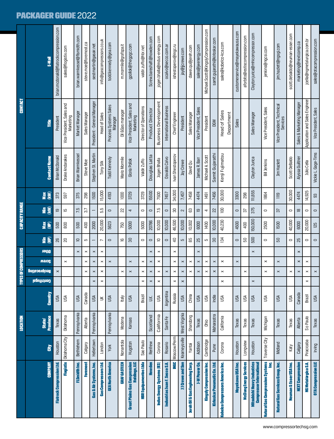## PACKAGER GUIDE 2022

|                                                         |               | <b>LOCATION</b>           |              | F. | PES OF COMPRESSORS   |                       |                |                                                                                                       | <b>CAPACITY RANGE</b> |                                                                                                       |             |                       | <b>CONTACT</b>                         |                                        |
|---------------------------------------------------------|---------------|---------------------------|--------------|----|----------------------|-----------------------|----------------|-------------------------------------------------------------------------------------------------------|-----------------------|-------------------------------------------------------------------------------------------------------|-------------|-----------------------|----------------------------------------|----------------------------------------|
| <b>COMPANY</b>                                          | š             | Province<br><b>State/</b> | Country      |    | <b>Reciprocating</b> | Screw                 | Other          | EÊ                                                                                                    | <b>Max</b>            | EŜ                                                                                                    | Way<br>(KW) | <b>Contact Name</b>   | itie                                   | <b>F-Mail</b>                          |
| <b>Flatrock Compression Ltd.</b>                        | Houston       | Texas                     | USA          |    | $\times$             |                       |                | 92                                                                                                    | 500                   | ഇ                                                                                                     | 373         | <b>Brian McDonald</b> | President                              | brian.mcdonald@flatrockcompression.com |
| <b>Flogistix</b>                                        | Oklahoma City | Oklahoma                  | USA          |    |                      | $\pmb{\times}$        |                | ສ                                                                                                     | 800                   | ĒΠ                                                                                                    | 597         | Drake Andarakes       | Vice President, Sales and<br>Marketing | sales@flogistix.com                    |
| <b>FLSmidth Inc.</b>                                    | Bethlehem     | Pennsylvania              | USA          |    |                      |                       | $\pmb{\times}$ | $\Xi$                                                                                                 | 500                   | 7.5                                                                                                   | 375         | Brian Warmkessel      | Market Manager                         | brian.warmkessel@flsmidth.com          |
| Foremost                                                | Calgary       | Alberta                   | Canada       |    | $\pmb{\times}$       | $\pmb{\times}$        | $\pmb{\times}$ | Б                                                                                                     | 57<br>400             |                                                                                                       | 298         | Steve Moe             | Sales Manager                          | steve.moe@foremost.ca                  |
| Gas & Air Systems, Inc.                                 | Hellertown    | Pennsylvania              | USA          |    | $\pmb{\times}$       | $\pmb{\times}$        | $\pmb{\times}$ |                                                                                                       | 2000                  |                                                                                                       | 1500        | Stephen St. Martin    | President - General Manager            | sestmartin@gasair.net                  |
| Gas Compressors Ltd.                                    | London        |                           | $\leq$       |    | $\times$             | $\pmb{\times}$        | $\pmb{\times}$ |                                                                                                       | 20,000                | 55                                                                                                    | 15,000      | Tony Silk             | Head of Sales                          | info@gascompressors.co.uk              |
| GEA North America                                       | York          | Pennsylvania              | USA          |    |                      | $\pmb{\times}$        |                | $\hskip10pt\hskip10pt\hskip10pt\hskip10pt\hskip10pt$                                                  | 5623                  | $\hskip10pt\hskip10pt\hskip10pt\hskip10pt\hskip10pt$                                                  | 4193        | Todd Kennedy          | Process Systems Sales<br>Manager       | todd.kennedy@gea.com                   |
| <b>GRAF GASTECH</b>                                     | Nonantola     | Modena                    | <b>Italy</b> |    | $\pmb{\times}$       |                       |                | <u>ല</u>                                                                                              | 750                   | $\mathbf{z}$                                                                                          | 1000        | Mario Mormile         | Oil &Gas manager                       | m.mormile@grafspa.it                   |
| Great Plains Gas Compression<br>Holdings, LLC           | Hugoton       | Kansas                    | <b>USA</b>   |    | $\pmb{\times}$       | $\pmb{\times}$        |                | $\overline{30}$                                                                                       | 5000                  | 4                                                                                                     | 3729        | Gloria Pollok         | Vice President, Sales and<br>Marketing | gpollok@thegpgc.com                    |
| <b>HBR Equipamentos Ltda</b>                            | Sao Paulo     |                           | Brazil       |    | $\pmb{\times}$       | $\pmb{\times}$        |                | $\circ$                                                                                               | 5000                  | $\circ$                                                                                               | 3729        | Valdir Zuffo          | Director of Operations                 | valdir.zuffo@hbr.net                   |
| <b>Howden</b>                                           | Renfrew       | Scotland                  | U.K.         |    | $\pmb{\times}$       | $\pmb{\times}$        | $\pmb{\times}$ | $\hskip10mm\hskip10mm\hskip10mm\hskip10mm\hskip10mm\hskip10mm$                                        | 20786                 | $\hskip10mm\hskip10mm\hskip10mm\hskip10mm\hskip10mm\hskip10mm$                                        | 15500       | Douglas Latta         | <b>Product Director</b>                | Screw.bareshaft@howden.com             |
| Indus Energy Systems (IES)                              | Corona        | California                | <b>ASU</b>   |    | $\pmb{\times}$       | $\boldsymbol{\times}$ | $\pmb{\times}$ | $\mathsf{D}$                                                                                          | 10,000                | 7.5                                                                                                   | 7500        | Jogen Bhalla          | <b>Business Development</b>            | jogen.bhalla@indus-energy.com          |
| Industrias Juan F. Secco S.A.                           | Rosario       | SantaFe                   | Argentina    |    | $\pmb{\times}$       |                       |                | $\hskip10pt\hskip10pt\hskip10pt\hskip10pt\hskip10pt$                                                  | 10,000                | $\hbox{ }$                                                                                            | 7457        | Osvaldo Calvo         | International Business                 | ocalvo@secco.com.ar                    |
| <b>INGC</b>                                             | Moscow/Perm   |                           | Russia       |    | $\pmb{\times}$       | $\times$              | $\times$       | $\overline{a}$                                                                                        | 46,500                | 90                                                                                                    | 34,000      | Ivan Shestoperov      | Chief Engineer                         | ishestoperov@ingc.ru                   |
| <b>JJ Crewe and Son</b>                                 | Kearneysville | West Virginia             | USA          |    | $\pmb{\times}$       | $\pmb{\times}$        |                | 5                                                                                                     | 10,000                | $\sim$                                                                                                | 7,457       | Jay Crewe             | President                              | jay@jjcrewe.com                        |
| Jereh Oil & Gas Engineering Corp.                       | Yantai        | Shandong                  | China        |    | $\pmb{\times}$       | $\pmb{\times}$        |                | 58                                                                                                    | 10,002                | ස                                                                                                     | 7458        | David Qu              | Sales Manager                          | dawei.qu@jereh.com                     |
| <b>J-W Power Co.</b>                                    | Addison       | Texas                     | USA          |    | $\pmb{\times}$       | $\pmb{\times}$        | $\pmb{\times}$ | 25                                                                                                    | 6000                  | ഇ                                                                                                     | 4474        | James R. Barr         | Vice President, Sales                  | sales@jwenergy.com                     |
| <b>Kingsly Compression Inc.</b>                         | Cambridge     | <b>Ohio</b>               | <b>ASU</b>   |    | $\pmb{\times}$       | $\pmb{\times}$        |                | ယ                                                                                                     | 1400                  | 4                                                                                                     | 1491        | Michael A. Scott      | President                              | Michael.Scott@KingslyCompression.com   |
| Kirloskar Pneumatic Co. Ltd.                            | Pune          | Maharastra                | India        |    | $\pmb{\times}$       | $\pmb{\times}$        |                | SO                                                                                                    | 10,000                | 22                                                                                                    | 7456        | Samit Gujarathi       | <b>DGM</b>                             | samit.gujarathi@kirloskar.com          |
| Kobelco Compressors America Inc.                        | Corona        | California                | Űδη          |    | $\pmb{\times}$       | $\times$              |                | 134                                                                                                   | 40,230                | $\Xi$                                                                                                 | 30,000      | Kenji Fujimatsu       | <b>Head of Sales</b><br>Department     | sales@kobelco-kca.com                  |
| Mayekawa USA Inc.                                       | Houston       | Texas                     | USA          |    |                      | $\pmb{\times}$        |                | $\hskip1.6pt\hskip1.3pt\hskip1.3pt\hskip1.3pt\hskip1.3pt\hskip1.3pt\hskip1.3pt\hskip1.3pt\hskip1.3pt$ | 4500                  | $\hskip1.6pt\hskip1.3pt\hskip1.3pt\hskip1.3pt\hskip1.3pt\hskip1.3pt\hskip1.3pt\hskip1.3pt\hskip1.3pt$ | 3300        |                       | Sales                                  | customerservice@mayekawausa.com        |
| <b>McClung Energy Services</b>                          | Longview      | Texas                     | USA          |    | $\times$             |                       |                | 50                                                                                                    | ᡖ<br>400              |                                                                                                       | 298         |                       |                                        | aforbito@estiscompression.com          |
| Mitsubishi Heavy Industries<br>Compressor International | Houston       | Texas                     | USA          |    |                      |                       | $\pmb{\times}$ | 500                                                                                                   | 150,000               | 375                                                                                                   | 11,855      | Clayton Jurica        | Sales Manager                          | Clayton jurica@mhicompressor.com       |
| Natural Gas Compression Systems<br>g                    | Traverse City | Michigan                  | USA          |    | $\times$             | ×                     |                | $\circ$                                                                                               | 2500                  | $\circ$                                                                                               | 1864        | <b>Bill Jenkins</b>   | Vice President, Sales                  | jenkins@ngcsi.com                      |
| Natural Gas Services Group, Inc.                        | Midland       | Texas                     | <b>USA</b>   |    | $\pmb{\times}$       | $\pmb{\times}$        |                | 50                                                                                                    | 55<br>1500            |                                                                                                       | 1119        | Jim Hazlett           | Vice President, Technical<br>Services  | jim.hazlett@ngsgi.com                  |
| Neuman & Esser USA Inc.                                 | Katy          | Texas                     | USA          |    | $\times$             |                       |                | $\circ$                                                                                               | 40,000                | $\circ$                                                                                               | 30,000      | Scott DeBaldo         |                                        | scott.debaldo@neuman-esser.com         |
| <b>NEXT Compression</b>                                 | Calgary       | Alberta                   | Canada       |    | $\pmb{\times}$       | $\pmb{\times}$        | $\pmb{\times}$ | 25                                                                                                    | 6000                  | $\underline{\infty}$                                                                                  | 4474        | Alyssa Guiltner       | Sales & Marketing Manager              | marketing@nextcomp.ca                  |
| NG Metalúrgica S.A.                                     | Piracicaba    | So Paulo                  | Brazil       |    | $\times$             | $\pmb{\times}$        |                | $\circ$                                                                                               | 20,000                | $\circ$                                                                                               | 14,925      | Júlio Cella           | Application and Sales Engineer         | jcella@ngmetalurgica.com.br            |
| <b>OTA Compression LLC</b>                              | Irving        | Texas                     | USA          |    | $\pmb{\times}$       |                       |                | $\hskip1.6pt\hskip1.3pt\hskip1.3pt\hskip1.3pt\hskip1.3pt\hskip1.3pt\hskip1.5pt\hskip1.5pt\hskip1.5pt$ | 125                   | $\hskip1.6pt\hskip1.3pt\hskip1.3pt\hskip1.3pt\hskip1.3pt\hskip1.3pt\hskip1.5pt\hskip1.5pt\hskip1.5pt$ | SS          | Vickie L. Gage-Tims   | Vice President, Sales                  | sales@otacompression.com               |